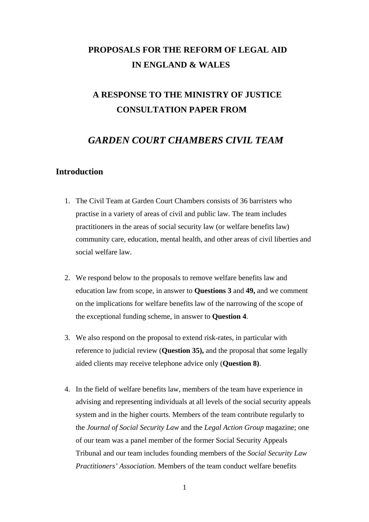# **PROPOSALS FOR THE REFORM OF LEGAL AID IN ENGLAND & WALES**

# **A RESPONSE TO THE MINISTRY OF JUSTICE CONSULTATION PAPER FROM**

### *GARDEN COURT CHAMBERS CIVIL TEAM*

## **Introduction**

- 1. The Civil Team at Garden Court Chambers consists of 36 barristers who practise in a variety of areas of civil and public law. The team includes practitioners in the areas of social security law (or welfare benefits law) community care, education, mental health, and other areas of civil liberties and social welfare law.
- 2. We respond below to the proposals to remove welfare benefits law and education law from scope, in answer to **Questions 3** and **49,** and we comment on the implications for welfare benefits law of the narrowing of the scope of the exceptional funding scheme, in answer to **Question 4**.
- 3. We also respond on the proposal to extend risk-rates, in particular with reference to judicial review (**Question 35),** and the proposal that some legally aided clients may receive telephone advice only (**Question 8)**.
- 4. In the field of welfare benefits law, members of the team have experience in advising and representing individuals at all levels of the social security appeals system and in the higher courts. Members of the team contribute regularly to the *Journal of Social Security Law* and the *Legal Action Group* magazine; one of our team was a panel member of the former Social Security Appeals Tribunal and our team includes founding members of the *Social Security Law Practitioners' Association*. Members of the team conduct welfare benefits

1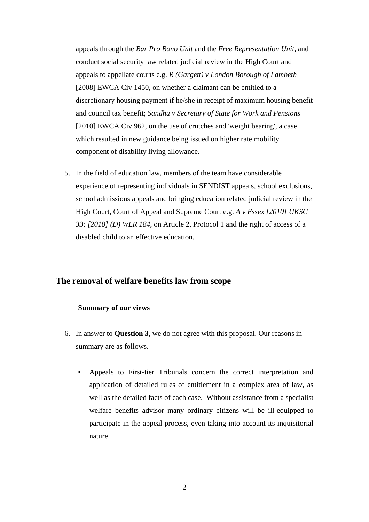appeals through the *Bar Pro Bono Unit* and the *Free Representation Unit*, and conduct social security law related judicial review in the High Court and appeals to appellate courts e.g. *R (Gargett) v London Borough of Lambeth* [2008] EWCA Civ 1450, on whether a claimant can be entitled to a discretionary housing payment if he/she in receipt of maximum housing benefit and council tax benefit; *Sandhu v Secretary of State for Work and Pensions* [2010] EWCA Civ 962, on the use of crutches and 'weight bearing', a case which resulted in new guidance being issued on higher rate mobility component of disability living allowance.

5. In the field of education law, members of the team have considerable experience of representing individuals in SENDIST appeals, school exclusions, school admissions appeals and bringing education related judicial review in the High Court, Court of Appeal and Supreme Court e.g. *A v Essex [2010] UKSC 33; [2010] (D) WLR 184,* on Article 2, Protocol 1 and the right of access of a disabled child to an effective education.

### **The removal of welfare benefits law from scope**

#### **Summary of our views**

- 6. In answer to **Question 3**, we do not agree with this proposal. Our reasons in summary are as follows.
	- Appeals to First-tier Tribunals concern the correct interpretation and application of detailed rules of entitlement in a complex area of law, as well as the detailed facts of each case. Without assistance from a specialist welfare benefits advisor many ordinary citizens will be ill-equipped to participate in the appeal process, even taking into account its inquisitorial nature.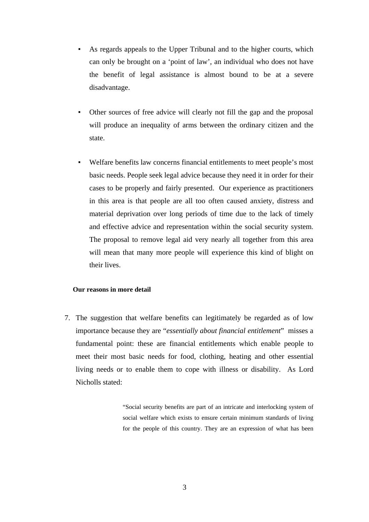- As regards appeals to the Upper Tribunal and to the higher courts, which can only be brought on a 'point of law', an individual who does not have the benefit of legal assistance is almost bound to be at a severe disadvantage.
- Other sources of free advice will clearly not fill the gap and the proposal will produce an inequality of arms between the ordinary citizen and the state.
- Welfare benefits law concerns financial entitlements to meet people's most basic needs. People seek legal advice because they need it in order for their cases to be properly and fairly presented. Our experience as practitioners in this area is that people are all too often caused anxiety, distress and material deprivation over long periods of time due to the lack of timely and effective advice and representation within the social security system. The proposal to remove legal aid very nearly all together from this area will mean that many more people will experience this kind of blight on their lives.

#### **Our reasons in more detail**

7. The suggestion that welfare benefits can legitimately be regarded as of low importance because they are "*essentially about financial entitlement*" misses a fundamental point: these are financial entitlements which enable people to meet their most basic needs for food, clothing, heating and other essential living needs or to enable them to cope with illness or disability. As Lord Nicholls stated:

> "Social security benefits are part of an intricate and interlocking system of social welfare which exists to ensure certain minimum standards of living for the people of this country. They are an expression of what has been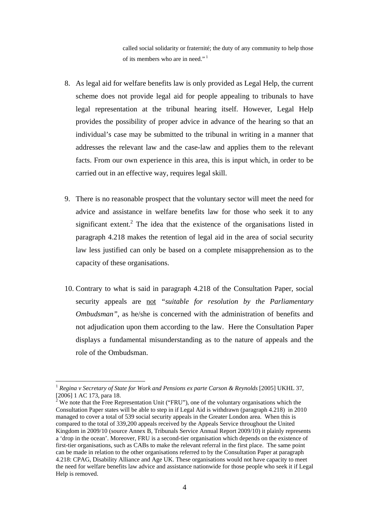called social solidarity or fraternité; the duty of any community to help those of its members who are in need."<sup>1</sup>

- 8. As legal aid for welfare benefits law is only provided as Legal Help, the current scheme does not provide legal aid for people appealing to tribunals to have legal representation at the tribunal hearing itself. However, Legal Help provides the possibility of proper advice in advance of the hearing so that an individual's case may be submitted to the tribunal in writing in a manner that addresses the relevant law and the case-law and applies them to the relevant facts. From our own experience in this area, this is input which, in order to be carried out in an effective way, requires legal skill.
- 9. There is no reasonable prospect that the voluntary sector will meet the need for advice and assistance in welfare benefits law for those who seek it to any significant extent.<sup>2</sup> The idea that the existence of the organisations listed in paragraph 4.218 makes the retention of legal aid in the area of social security law less justified can only be based on a complete misapprehension as to the capacity of these organisations.
- 10. Contrary to what is said in paragraph 4.218 of the Consultation Paper, social security appeals are not *"suitable for resolution by the Parliamentary Ombudsman"*, as he/she is concerned with the administration of benefits and not adjudication upon them according to the law. Here the Consultation Paper displays a fundamental misunderstanding as to the nature of appeals and the role of the Ombudsman.

<sup>1</sup> *Regina v Secretary of State for Work and Pensions ex parte Carson & Reynolds* [2005] UKHL 37, [2006] 1 AC 173, para 18.

We note that the Free Representation Unit ("FRU"), one of the voluntary organisations which the Consultation Paper states will be able to step in if Legal Aid is withdrawn (paragraph 4.218) in 2010 managed to cover a total of 539 social security appeals in the Greater London area. When this is compared to the total of 339,200 appeals received by the Appeals Service throughout the United Kingdom in 2009/10 (source Annex B, Tribunals Service Annual Report 2009/10) it plainly represents a 'drop in the ocean'. Moreover, FRU is a second-tier organisation which depends on the existence of first-tier organisations, such as CABs to make the relevant referral in the first place. The same point can be made in relation to the other organisations referred to by the Consultation Paper at paragraph 4.218: CPAG, Disability Alliance and Age UK. These organisations would not have capacity to meet the need for welfare benefits law advice and assistance nationwide for those people who seek it if Legal Help is removed.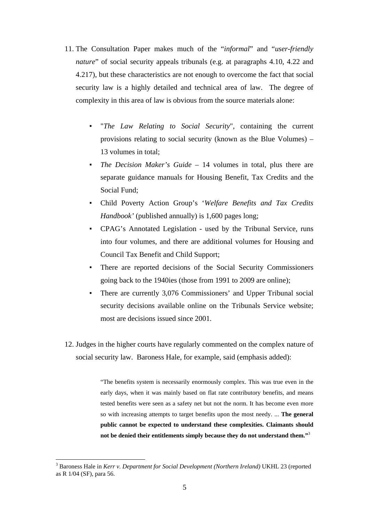- 11. The Consultation Paper makes much of the "*informal*" and "*user-friendly nature*" of social security appeals tribunals (e.g. at paragraphs 4.10, 4.22 and 4.217), but these characteristics are not enough to overcome the fact that social security law is a highly detailed and technical area of law. The degree of complexity in this area of law is obvious from the source materials alone:
	- "*The Law Relating to Social Security*", containing the current provisions relating to social security (known as the Blue Volumes) – 13 volumes in total;
	- *The Decision Maker's Guide*  14 volumes in total, plus there are separate guidance manuals for Housing Benefit, Tax Credits and the Social Fund;
	- Child Poverty Action Group's '*Welfare Benefits and Tax Credits Handbook'* (published annually) is 1,600 pages long;
	- CPAG's Annotated Legislation used by the Tribunal Service, runs into four volumes, and there are additional volumes for Housing and Council Tax Benefit and Child Support;
	- There are reported decisions of the Social Security Commissioners going back to the 1940ies (those from 1991 to 2009 are online);
	- There are currently 3,076 Commissioners' and Upper Tribunal social security decisions available online on the Tribunals Service website; most are decisions issued since 2001.
- 12. Judges in the higher courts have regularly commented on the complex nature of social security law. Baroness Hale, for example, said (emphasis added):

"The benefits system is necessarily enormously complex. This was true even in the early days, when it was mainly based on flat rate contributory benefits, and means tested benefits were seen as a safety net but not the norm. It has become even more so with increasing attempts to target benefits upon the most needy. ... **The general public cannot be expected to understand these complexities. Claimants should not be denied their entitlements simply because they do not understand them."**<sup>3</sup>

<sup>&</sup>lt;sup>3</sup> Baroness Hale in *Kerr v. Department for Social Development (Northern Ireland)* UKHL 23 (reported as R 1/04 (SF), para 56.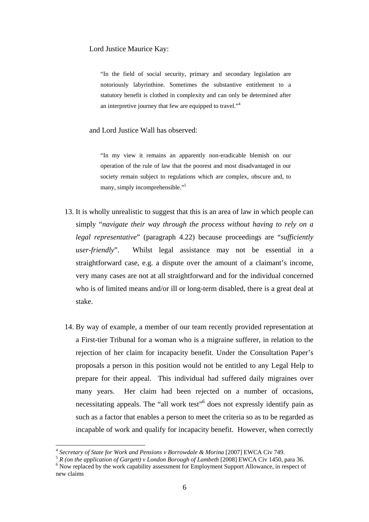Lord Justice Maurice Kay:

"In the field of social security, primary and secondary legislation are notoriously labyrinthine. Sometimes the substantive entitlement to a statutory benefit is clothed in complexity and can only be determined after an interpretive journey that few are equipped to travel."<sup>4</sup>

and Lord Justice Wall has observed:

"In my view it remains an apparently non-eradicable blemish on our operation of the rule of law that the poorest and most disadvantaged in our society remain subject to regulations which are complex, obscure and, to many, simply incomprehensible."<sup>5</sup>

- 13. It is wholly unrealistic to suggest that this is an area of law in which people can simply "*navigate their way through the process without having to rely on a legal representative*" (paragraph 4.22) because proceedings are "*sufficiently user-friendly*". Whilst legal assistance may not be essential in a straightforward case, e.g. a dispute over the amount of a claimant's income, very many cases are not at all straightforward and for the individual concerned who is of limited means and/or ill or long-term disabled, there is a great deal at stake.
- 14. By way of example, a member of our team recently provided representation at a First-tier Tribunal for a woman who is a migraine sufferer, in relation to the rejection of her claim for incapacity benefit. Under the Consultation Paper's proposals a person in this position would not be entitled to any Legal Help to prepare for their appeal. This individual had suffered daily migraines over many years. Her claim had been rejected on a number of occasions, necessitating appeals. The "all work test"<sup>6</sup> does not expressly identify pain as such as a factor that enables a person to meet the criteria so as to be regarded as incapable of work and qualify for incapacity benefit. However, when correctly

<sup>&</sup>lt;sup>4</sup> Secretary of State for Work and Pensions v Borrowdale & Morina [2007] EWCA Civ 749.<br><sup>5</sup> *R* (on the application of Gargett) v London Borough of Lambeth [2008] EWCA Civ 1450, para 36. 6<br><sup>6</sup> Now replaced by the work capa  $6$  Now replaced by the work capability assessment for Employment Support Allowance, in respect of new claims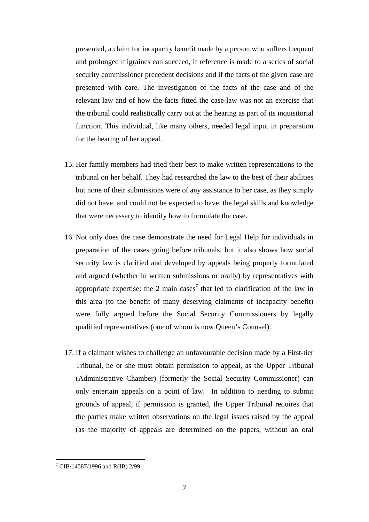presented, a claim for incapacity benefit made by a person who suffers frequent and prolonged migraines can succeed, if reference is made to a series of social security commissioner precedent decisions and if the facts of the given case are presented with care. The investigation of the facts of the case and of the relevant law and of how the facts fitted the case-law was not an exercise that the tribunal could realistically carry out at the hearing as part of its inquisitorial function. This individual, like many others, needed legal input in preparation for the hearing of her appeal.

- 15. Her family members had tried their best to make written representations to the tribunal on her behalf. They had researched the law to the best of their abilities but none of their submissions were of any assistance to her case, as they simply did not have, and could not be expected to have, the legal skills and knowledge that were necessary to identify how to formulate the case.
- 16. Not only does the case demonstrate the need for Legal Help for individuals in preparation of the cases going before tribunals, but it also shows how social security law is clarified and developed by appeals being properly formulated and argued (whether in written submissions or orally) by representatives with appropriate expertise: the 2 main cases<sup>7</sup> that led to clarification of the law in this area (to the benefit of many deserving claimants of incapacity benefit) were fully argued before the Social Security Commissioners by legally qualified representatives (one of whom is now Queen's Counsel).
- 17. If a claimant wishes to challenge an unfavourable decision made by a First-tier Tribunal, he or she must obtain permission to appeal, as the Upper Tribunal (Administrative Chamber) (formerly the Social Security Commissioner) can only entertain appeals on a point of law. In addition to needing to submit grounds of appeal, if permission is granted, the Upper Tribunal requires that the parties make written observations on the legal issues raised by the appeal (as the majority of appeals are determined on the papers, without an oral

<sup>7</sup> CIB/14587/1996 and R(IB) 2/99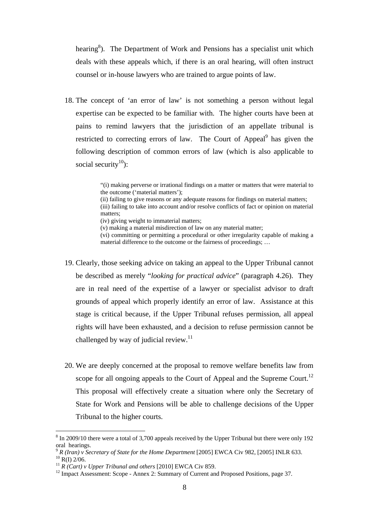hearing<sup>8</sup>). The Department of Work and Pensions has a specialist unit which deals with these appeals which, if there is an oral hearing, will often instruct counsel or in-house lawyers who are trained to argue points of law.

18. The concept of 'an error of law' is not something a person without legal expertise can be expected to be familiar with. The higher courts have been at pains to remind lawyers that the jurisdiction of an appellate tribunal is restricted to correcting errors of law. The Court of Appeal<sup>9</sup> has given the following description of common errors of law (which is also applicable to social security<sup>10</sup>):

> "(i) making perverse or irrational findings on a matter or matters that were material to the outcome ('material matters');

> (ii) failing to give reasons or any adequate reasons for findings on material matters; (iii) failing to take into account and/or resolve conflicts of fact or opinion on material matters;

(iv) giving weight to immaterial matters;

(v) making a material misdirection of law on any material matter;

(vi) committing or permitting a procedural or other irregularity capable of making a material difference to the outcome or the fairness of proceedings; …

- 19. Clearly, those seeking advice on taking an appeal to the Upper Tribunal cannot be described as merely "*looking for practical advice*" (paragraph 4.26). They are in real need of the expertise of a lawyer or specialist advisor to draft grounds of appeal which properly identify an error of law. Assistance at this stage is critical because, if the Upper Tribunal refuses permission, all appeal rights will have been exhausted, and a decision to refuse permission cannot be challenged by way of judicial review.<sup>11</sup>
- 20. We are deeply concerned at the proposal to remove welfare benefits law from scope for all ongoing appeals to the Court of Appeal and the Supreme Court.<sup>12</sup> This proposal will effectively create a situation where only the Secretary of State for Work and Pensions will be able to challenge decisions of the Upper Tribunal to the higher courts.

 $8 \text{ In } 2009/10$  there were a total of 3,700 appeals received by the Upper Tribunal but there were only 192 oral hearings.

<sup>&</sup>lt;sup>9</sup> *R* (Iran) *v* Secretary of State for the Home Department [2005] EWCA Civ 982, [2005] INLR 633.<br><sup>10</sup> R(I) 2/06.<br><sup>11</sup> *R* (Cart) *v* Upper Tribunal and others [2010] EWCA Civ 859.

<sup>&</sup>lt;sup>12</sup> Impact Assessment: Scope - Annex 2: Summary of Current and Proposed Positions, page 37.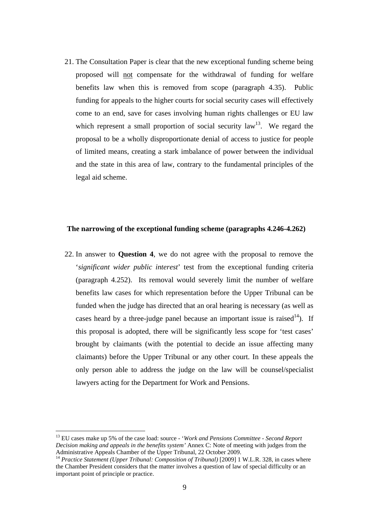21. The Consultation Paper is clear that the new exceptional funding scheme being proposed will not compensate for the withdrawal of funding for welfare benefits law when this is removed from scope (paragraph 4.35). Public funding for appeals to the higher courts for social security cases will effectively come to an end, save for cases involving human rights challenges or EU law which represent a small proportion of social security law<sup>13</sup>. We regard the proposal to be a wholly disproportionate denial of access to justice for people of limited means, creating a stark imbalance of power between the individual and the state in this area of law, contrary to the fundamental principles of the legal aid scheme.

### **The narrowing of the exceptional funding scheme (paragraphs 4.246-4.262)**

22. In answer to **Question 4**, we do not agree with the proposal to remove the '*significant wider public interest*' test from the exceptional funding criteria (paragraph 4.252). Its removal would severely limit the number of welfare benefits law cases for which representation before the Upper Tribunal can be funded when the judge has directed that an oral hearing is necessary (as well as cases heard by a three-judge panel because an important issue is raised<sup>14</sup>). If this proposal is adopted, there will be significantly less scope for 'test cases' brought by claimants (with the potential to decide an issue affecting many claimants) before the Upper Tribunal or any other court. In these appeals the only person able to address the judge on the law will be counsel/specialist lawyers acting for the Department for Work and Pensions.

<sup>13</sup> EU cases make up 5% of the case load: source - '*Work and Pensions Committee - Second Report Decision making and appeals in the benefits system'* Annex C: Note of meeting with judges from the Administrative Appeals Chamber of the Upper Tribunal, 22 October 2009.

<sup>&</sup>lt;sup>14</sup> Practice Statement (Upper Tribunal: Composition of Tribunal) [2009] 1 W.L.R. 328, in cases where the Chamber President considers that the matter involves a question of law of special difficulty or an important point of principle or practice.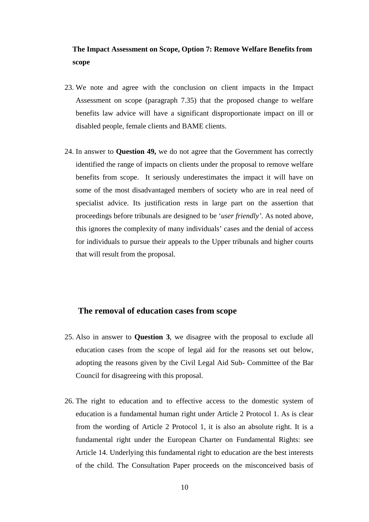## **The Impact Assessment on Scope, Option 7: Remove Welfare Benefits from scope**

- 23. We note and agree with the conclusion on client impacts in the Impact Assessment on scope (paragraph 7.35) that the proposed change to welfare benefits law advice will have a significant disproportionate impact on ill or disabled people, female clients and BAME clients.
- 24. In answer to **Question 49,** we do not agree that the Government has correctly identified the range of impacts on clients under the proposal to remove welfare benefits from scope. It seriously underestimates the impact it will have on some of the most disadvantaged members of society who are in real need of specialist advice. Its justification rests in large part on the assertion that proceedings before tribunals are designed to be '*user friendly'*. As noted above, this ignores the complexity of many individuals' cases and the denial of access for individuals to pursue their appeals to the Upper tribunals and higher courts that will result from the proposal.

### **The removal of education cases from scope**

- 25. Also in answer to **Question 3**, we disagree with the proposal to exclude all education cases from the scope of legal aid for the reasons set out below, adopting the reasons given by the Civil Legal Aid Sub- Committee of the Bar Council for disagreeing with this proposal.
- 26. The right to education and to effective access to the domestic system of education is a fundamental human right under Article 2 Protocol 1. As is clear from the wording of Article 2 Protocol 1, it is also an absolute right. It is a fundamental right under the European Charter on Fundamental Rights: see Article 14. Underlying this fundamental right to education are the best interests of the child. The Consultation Paper proceeds on the misconceived basis of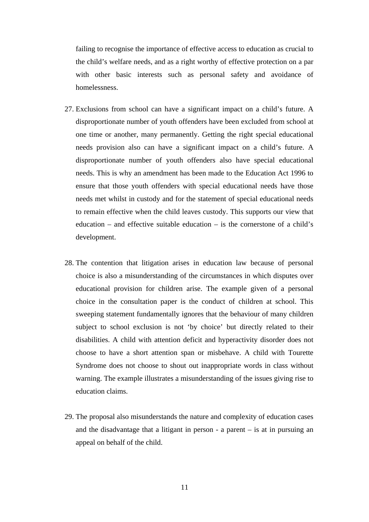failing to recognise the importance of effective access to education as crucial to the child's welfare needs, and as a right worthy of effective protection on a par with other basic interests such as personal safety and avoidance of homelessness.

- 27. Exclusions from school can have a significant impact on a child's future. A disproportionate number of youth offenders have been excluded from school at one time or another, many permanently. Getting the right special educational needs provision also can have a significant impact on a child's future. A disproportionate number of youth offenders also have special educational needs. This is why an amendment has been made to the Education Act 1996 to ensure that those youth offenders with special educational needs have those needs met whilst in custody and for the statement of special educational needs to remain effective when the child leaves custody. This supports our view that education – and effective suitable education – is the cornerstone of a child's development.
- 28. The contention that litigation arises in education law because of personal choice is also a misunderstanding of the circumstances in which disputes over educational provision for children arise. The example given of a personal choice in the consultation paper is the conduct of children at school. This sweeping statement fundamentally ignores that the behaviour of many children subject to school exclusion is not 'by choice' but directly related to their disabilities. A child with attention deficit and hyperactivity disorder does not choose to have a short attention span or misbehave. A child with Tourette Syndrome does not choose to shout out inappropriate words in class without warning. The example illustrates a misunderstanding of the issues giving rise to education claims.
- 29. The proposal also misunderstands the nature and complexity of education cases and the disadvantage that a litigant in person - a parent – is at in pursuing an appeal on behalf of the child.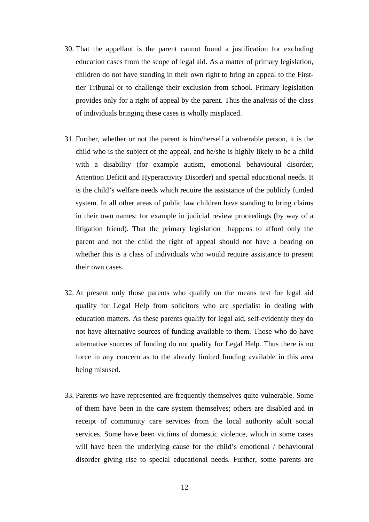- 30. That the appellant is the parent cannot found a justification for excluding education cases from the scope of legal aid. As a matter of primary legislation, children do not have standing in their own right to bring an appeal to the Firsttier Tribunal or to challenge their exclusion from school. Primary legislation provides only for a right of appeal by the parent. Thus the analysis of the class of individuals bringing these cases is wholly misplaced.
- 31. Further, whether or not the parent is him/herself a vulnerable person, it is the child who is the subject of the appeal, and he/she is highly likely to be a child with a disability (for example autism, emotional behavioural disorder, Attention Deficit and Hyperactivity Disorder) and special educational needs. It is the child's welfare needs which require the assistance of the publicly funded system. In all other areas of public law children have standing to bring claims in their own names: for example in judicial review proceedings (by way of a litigation friend). That the primary legislation happens to afford only the parent and not the child the right of appeal should not have a bearing on whether this is a class of individuals who would require assistance to present their own cases.
- 32. At present only those parents who qualify on the means test for legal aid qualify for Legal Help from solicitors who are specialist in dealing with education matters. As these parents qualify for legal aid, self-evidently they do not have alternative sources of funding available to them. Those who do have alternative sources of funding do not qualify for Legal Help. Thus there is no force in any concern as to the already limited funding available in this area being misused.
- 33. Parents we have represented are frequently themselves quite vulnerable. Some of them have been in the care system themselves; others are disabled and in receipt of community care services from the local authority adult social services. Some have been victims of domestic violence, which in some cases will have been the underlying cause for the child's emotional / behavioural disorder giving rise to special educational needs. Further, some parents are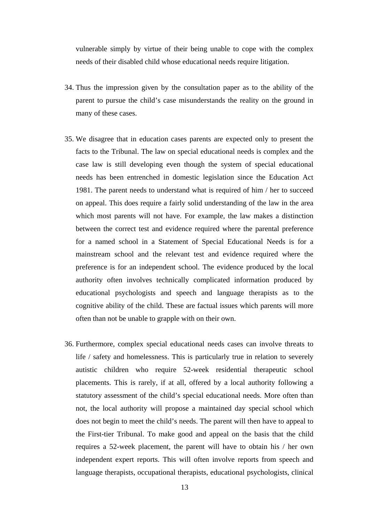vulnerable simply by virtue of their being unable to cope with the complex needs of their disabled child whose educational needs require litigation.

- 34. Thus the impression given by the consultation paper as to the ability of the parent to pursue the child's case misunderstands the reality on the ground in many of these cases.
- 35. We disagree that in education cases parents are expected only to present the facts to the Tribunal. The law on special educational needs is complex and the case law is still developing even though the system of special educational needs has been entrenched in domestic legislation since the Education Act 1981. The parent needs to understand what is required of him / her to succeed on appeal. This does require a fairly solid understanding of the law in the area which most parents will not have. For example, the law makes a distinction between the correct test and evidence required where the parental preference for a named school in a Statement of Special Educational Needs is for a mainstream school and the relevant test and evidence required where the preference is for an independent school. The evidence produced by the local authority often involves technically complicated information produced by educational psychologists and speech and language therapists as to the cognitive ability of the child. These are factual issues which parents will more often than not be unable to grapple with on their own.
- 36. Furthermore, complex special educational needs cases can involve threats to life / safety and homelessness. This is particularly true in relation to severely autistic children who require 52-week residential therapeutic school placements. This is rarely, if at all, offered by a local authority following a statutory assessment of the child's special educational needs. More often than not, the local authority will propose a maintained day special school which does not begin to meet the child's needs. The parent will then have to appeal to the First-tier Tribunal. To make good and appeal on the basis that the child requires a 52-week placement, the parent will have to obtain his / her own independent expert reports. This will often involve reports from speech and language therapists, occupational therapists, educational psychologists, clinical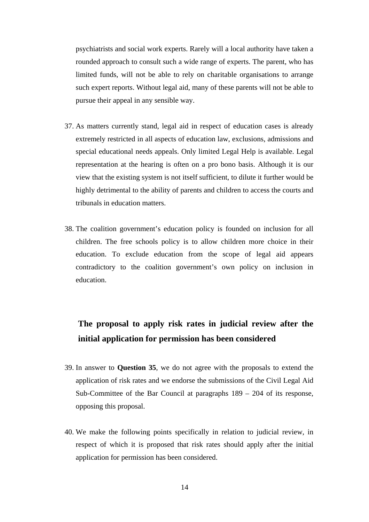psychiatrists and social work experts. Rarely will a local authority have taken a rounded approach to consult such a wide range of experts. The parent, who has limited funds, will not be able to rely on charitable organisations to arrange such expert reports. Without legal aid, many of these parents will not be able to pursue their appeal in any sensible way.

- 37. As matters currently stand, legal aid in respect of education cases is already extremely restricted in all aspects of education law, exclusions, admissions and special educational needs appeals. Only limited Legal Help is available. Legal representation at the hearing is often on a pro bono basis. Although it is our view that the existing system is not itself sufficient, to dilute it further would be highly detrimental to the ability of parents and children to access the courts and tribunals in education matters.
- 38. The coalition government's education policy is founded on inclusion for all children. The free schools policy is to allow children more choice in their education. To exclude education from the scope of legal aid appears contradictory to the coalition government's own policy on inclusion in education.

# **The proposal to apply risk rates in judicial review after the initial application for permission has been considered**

- 39. In answer to **Question 35**, we do not agree with the proposals to extend the application of risk rates and we endorse the submissions of the Civil Legal Aid Sub-Committee of the Bar Council at paragraphs 189 – 204 of its response, opposing this proposal.
- 40. We make the following points specifically in relation to judicial review, in respect of which it is proposed that risk rates should apply after the initial application for permission has been considered.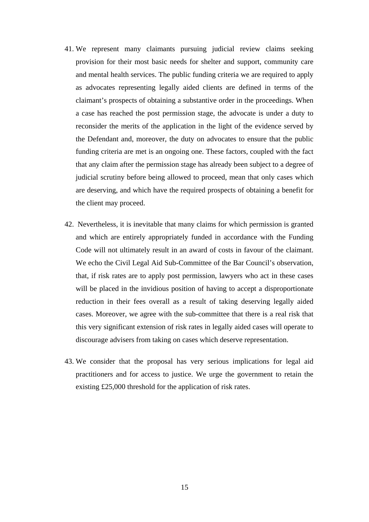- 41. We represent many claimants pursuing judicial review claims seeking provision for their most basic needs for shelter and support, community care and mental health services. The public funding criteria we are required to apply as advocates representing legally aided clients are defined in terms of the claimant's prospects of obtaining a substantive order in the proceedings. When a case has reached the post permission stage, the advocate is under a duty to reconsider the merits of the application in the light of the evidence served by the Defendant and, moreover, the duty on advocates to ensure that the public funding criteria are met is an ongoing one. These factors, coupled with the fact that any claim after the permission stage has already been subject to a degree of judicial scrutiny before being allowed to proceed, mean that only cases which are deserving, and which have the required prospects of obtaining a benefit for the client may proceed.
- 42. Nevertheless, it is inevitable that many claims for which permission is granted and which are entirely appropriately funded in accordance with the Funding Code will not ultimately result in an award of costs in favour of the claimant. We echo the Civil Legal Aid Sub-Committee of the Bar Council's observation, that, if risk rates are to apply post permission, lawyers who act in these cases will be placed in the invidious position of having to accept a disproportionate reduction in their fees overall as a result of taking deserving legally aided cases. Moreover, we agree with the sub-committee that there is a real risk that this very significant extension of risk rates in legally aided cases will operate to discourage advisers from taking on cases which deserve representation.
- 43. We consider that the proposal has very serious implications for legal aid practitioners and for access to justice. We urge the government to retain the existing £25,000 threshold for the application of risk rates.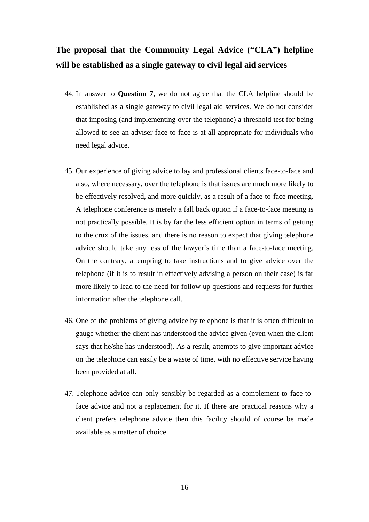# **The proposal that the Community Legal Advice ("CLA") helpline will be established as a single gateway to civil legal aid services**

- 44. In answer to **Question 7,** we do not agree that the CLA helpline should be established as a single gateway to civil legal aid services. We do not consider that imposing (and implementing over the telephone) a threshold test for being allowed to see an adviser face-to-face is at all appropriate for individuals who need legal advice.
- 45. Our experience of giving advice to lay and professional clients face-to-face and also, where necessary, over the telephone is that issues are much more likely to be effectively resolved, and more quickly, as a result of a face-to-face meeting. A telephone conference is merely a fall back option if a face-to-face meeting is not practically possible. It is by far the less efficient option in terms of getting to the crux of the issues, and there is no reason to expect that giving telephone advice should take any less of the lawyer's time than a face-to-face meeting. On the contrary, attempting to take instructions and to give advice over the telephone (if it is to result in effectively advising a person on their case) is far more likely to lead to the need for follow up questions and requests for further information after the telephone call.
- 46. One of the problems of giving advice by telephone is that it is often difficult to gauge whether the client has understood the advice given (even when the client says that he/she has understood). As a result, attempts to give important advice on the telephone can easily be a waste of time, with no effective service having been provided at all.
- 47. Telephone advice can only sensibly be regarded as a complement to face-toface advice and not a replacement for it. If there are practical reasons why a client prefers telephone advice then this facility should of course be made available as a matter of choice.